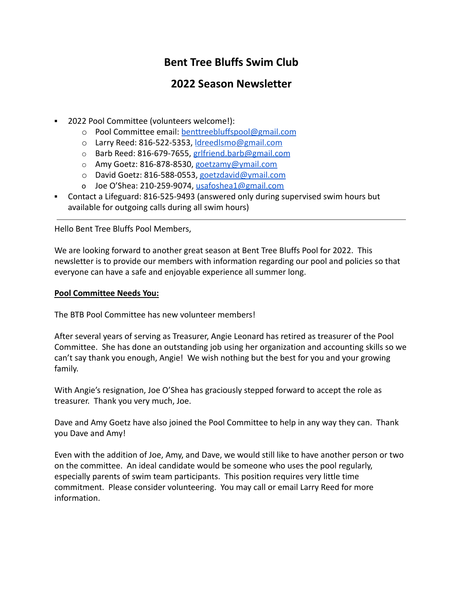# **Bent Tree Bluffs Swim Club**

# **2022 Season Newsletter**

- **2022 Pool Committee (volunteers welcome!):** 
	- o Pool Committee email: [benttreebluffspool@gmail.com](mailto:benttreebluffspool@gmail.com)
	- o Larry Reed: 816-522-5353, [ldreedlsmo@gmail.com](mailto:ldreedlsmo@gmail.com)
	- o Barb Reed: 816-679-7655, [grlfriend.barb@gmail.com](mailto:grlfriend.barb@gmail.com)
	- o Amy Goetz: 816-878-8530, [goetzamy@ymail.com](mailto:goetzamy@ymail.com)
	- o David Goetz: 816-588-0553, [goetzdavid@ymail.com](mailto:goetzdavid@ymail.com)
	- o Joe O'Shea: 210-259-9074, [usafoshea1@gmail.com](mailto:usafoshea1@gmail.com)
- Contact a Lifeguard: 816-525-9493 (answered only during supervised swim hours but available for outgoing calls during all swim hours)

Hello Bent Tree Bluffs Pool Members,

We are looking forward to another great season at Bent Tree Bluffs Pool for 2022. This newsletter is to provide our members with information regarding our pool and policies so that everyone can have a safe and enjoyable experience all summer long.

## **Pool Committee Needs You:**

The BTB Pool Committee has new volunteer members!

After several years of serving as Treasurer, Angie Leonard has retired as treasurer of the Pool Committee. She has done an outstanding job using her organization and accounting skills so we can't say thank you enough, Angie! We wish nothing but the best for you and your growing family.

With Angie's resignation, Joe O'Shea has graciously stepped forward to accept the role as treasurer. Thank you very much, Joe.

Dave and Amy Goetz have also joined the Pool Committee to help in any way they can. Thank you Dave and Amy!

Even with the addition of Joe, Amy, and Dave, we would still like to have another person or two on the committee. An ideal candidate would be someone who uses the pool regularly, especially parents of swim team participants. This position requires very little time commitment. Please consider volunteering. You may call or email Larry Reed for more information.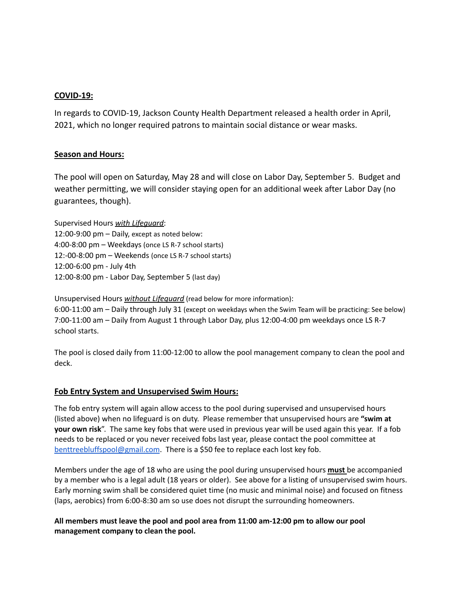#### **COVID-19:**

In regards to COVID-19, Jackson County Health Department released a health order in April, 2021, which no longer required patrons to maintain social distance or wear masks.

#### **Season and Hours:**

The pool will open on Saturday, May 28 and will close on Labor Day, September 5. Budget and weather permitting, we will consider staying open for an additional week after Labor Day (no guarantees, though).

Supervised Hours *with Lifeguard*: 12:00-9:00 pm – Daily, except as noted below: 4:00-8:00 pm – Weekdays (once LS R-7 school starts) 12:-00-8:00 pm – Weekends (once LS R-7 school starts) 12:00-6:00 pm - July 4th 12:00-8:00 pm - Labor Day, September 5 (last day)

Unsupervised Hours *without Lifeguard* (read below for more information):

6:00-11:00 am – Daily through July 31 (except on weekdays when the Swim Team will be practicing: See below) 7:00-11:00 am – Daily from August 1 through Labor Day, plus 12:00-4:00 pm weekdays once LS R-7 school starts.

The pool is closed daily from 11:00-12:00 to allow the pool management company to clean the pool and deck.

#### **Fob Entry System and Unsupervised Swim Hours:**

The fob entry system will again allow access to the pool during supervised and unsupervised hours (listed above) when no lifeguard is on duty. Please remember that unsupervised hours are **"swim at your own risk**". The same key fobs that were used in previous year will be used again this year. If a fob needs to be replaced or you never received fobs last year, please contact the pool committee at [benttreebluffspool@gmail.com](mailto:bentreebluffspool@gmail.com). There is a \$50 fee to replace each lost key fob.

Members under the age of 18 who are using the pool during unsupervised hours **must** be accompanied by a member who is a legal adult (18 years or older). See above for a listing of unsupervised swim hours. Early morning swim shall be considered quiet time (no music and minimal noise) and focused on fitness (laps, aerobics) from 6:00-8:30 am so use does not disrupt the surrounding homeowners.

**All members must leave the pool and pool area from 11:00 am-12:00 pm to allow our pool management company to clean the pool.**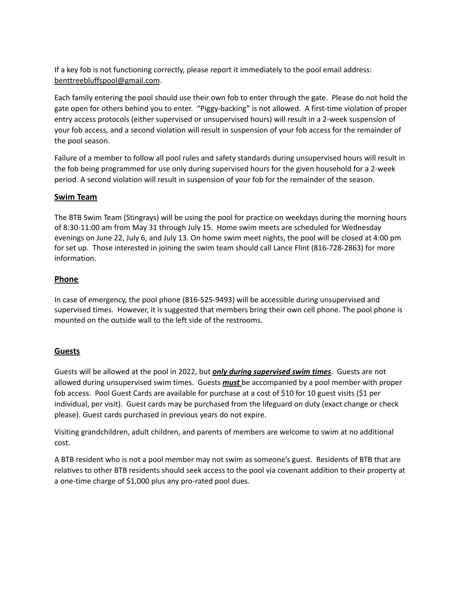If a key fob is not functioning correctly, please report it immediately to the pool email address: [benttreebluffspool@gmail.com](mailto:benttreebluffspool@gmail.com).

Each family entering the pool should use their own fob to enter through the gate. Please do not hold the gate open for others behind you to enter. "Piggy-backing" is not allowed. A first-time violation of proper entry access protocols (either supervised or unsupervised hours) will result in a 2-week suspension of your fob access, and a second violation will result in suspension of your fob access for the remainder of the pool season.

Failure of a member to follow all pool rules and safety standards during unsupervised hours will result in the fob being programmed for use only during supervised hours for the given household for a 2-week period. A second violation will result in suspension of your fob for the remainder of the season.

## **Swim Team**

The BTB Swim Team (Stingrays) will be using the pool for practice on weekdays during the morning hours of 8:30-11:00 am from May 31 through July 15. Home swim meets are scheduled for Wednesday evenings on June 22, July 6, and July 13. On home swim meet nights, the pool will be closed at 4:00 pm for set up. Those interested in joining the swim team should call Lance Flint (816-728-2863) for more information.

## **Phone**

In case of emergency, the pool phone (816-525-9493) will be accessible during unsupervised and supervised times. However, it is suggested that members bring their own cell phone. The pool phone is mounted on the outside wall to the left side of the restrooms.

## **Guests**

Guests will be allowed at the pool in 2022, but *only during supervised swim times*. Guests are not allowed during unsupervised swim times. Guests *must* be accompanied by a pool member with proper fob access. Pool Guest Cards are available for purchase at a cost of \$10 for 10 guest visits (\$1 per individual, per visit). Guest cards may be purchased from the lifeguard on duty (exact change or check please). Guest cards purchased in previous years do not expire.

Visiting grandchildren, adult children, and parents of members are welcome to swim at no additional cost.

A BTB resident who is not a pool member may not swim as someone's guest. Residents of BTB that are relatives to other BTB residents should seek access to the pool via covenant addition to their property at a one-time charge of \$1,000 plus any pro-rated pool dues.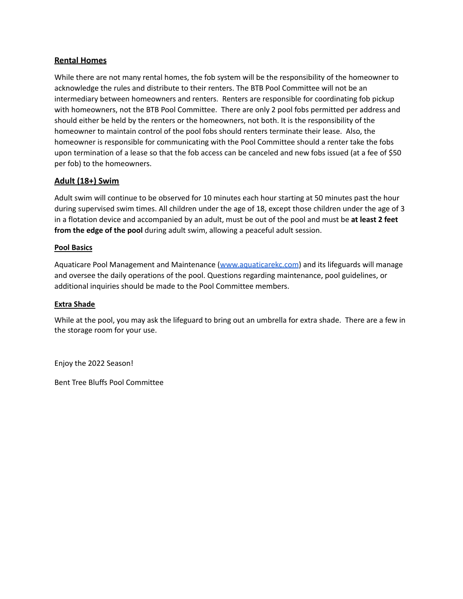## **Rental Homes**

While there are not many rental homes, the fob system will be the responsibility of the homeowner to acknowledge the rules and distribute to their renters. The BTB Pool Committee will not be an intermediary between homeowners and renters. Renters are responsible for coordinating fob pickup with homeowners, not the BTB Pool Committee. There are only 2 pool fobs permitted per address and should either be held by the renters or the homeowners, not both. It is the responsibility of the homeowner to maintain control of the pool fobs should renters terminate their lease. Also, the homeowner is responsible for communicating with the Pool Committee should a renter take the fobs upon termination of a lease so that the fob access can be canceled and new fobs issued (at a fee of \$50 per fob) to the homeowners.

## **Adult (18+) Swim**

Adult swim will continue to be observed for 10 minutes each hour starting at 50 minutes past the hour during supervised swim times. All children under the age of 18, except those children under the age of 3 in a flotation device and accompanied by an adult, must be out of the pool and must be **at least 2 feet from the edge of the pool** during adult swim, allowing a peaceful adult session.

#### **Pool Basics**

Aquaticare Pool Management and Maintenance [\(www.aquaticarekc.com](http://www.aquaticarekc.com)) and its lifeguards will manage and oversee the daily operations of the pool. Questions regarding maintenance, pool guidelines, or additional inquiries should be made to the Pool Committee members.

#### **Extra Shade**

While at the pool, you may ask the lifeguard to bring out an umbrella for extra shade. There are a few in the storage room for your use.

Enjoy the 2022 Season!

Bent Tree Bluffs Pool Committee